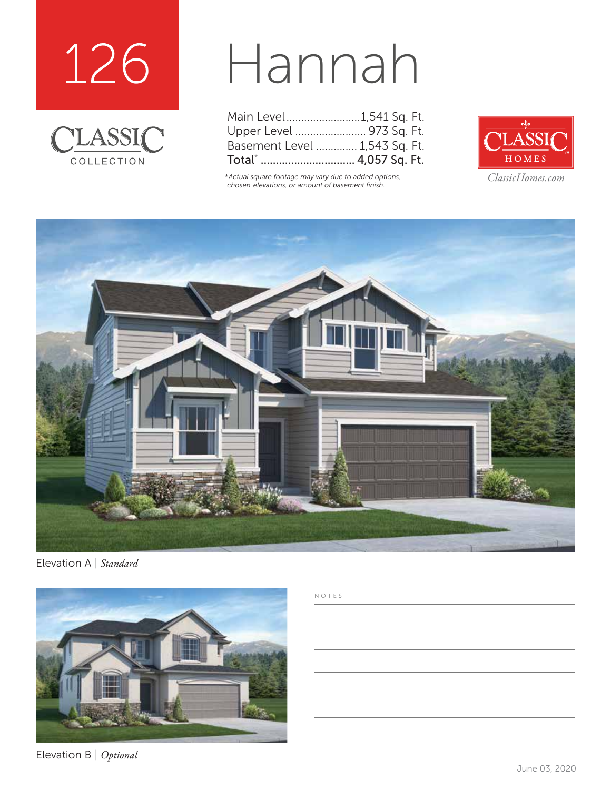



## Hannah

| Main Level1,541 Sq. Ft.       |  |
|-------------------------------|--|
| Upper Level  973 Sq. Ft.      |  |
| Basement Level  1,543 Sq. Ft. |  |
| Total*  4,057 Sq. Ft.         |  |

*\*Actual square footage may vary due to added options, chosen elevations, or amount of basement finish.*



*ClassicHomes.com*



Elevation A | *Standard*



Elevation B | *Optional*

NOTES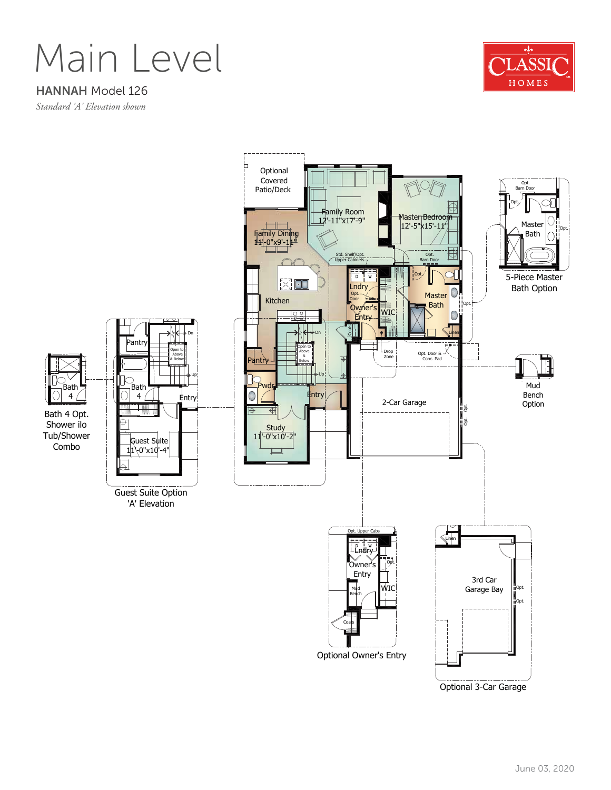Main Level



HANNAH Model 126

*Standard 'A' Elevation shown*

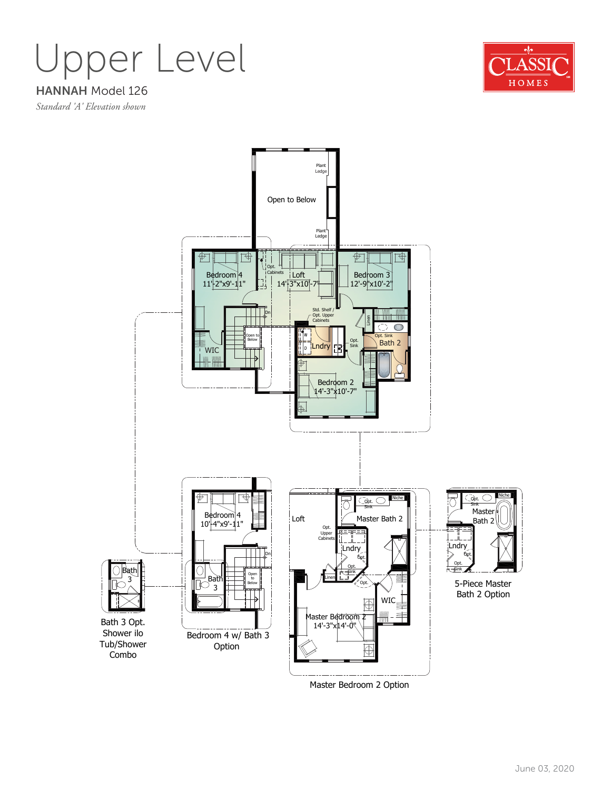Upper Level



HANNAH Model 126 *Standard 'A' Elevation shown*



Master Bedroom 2 Option